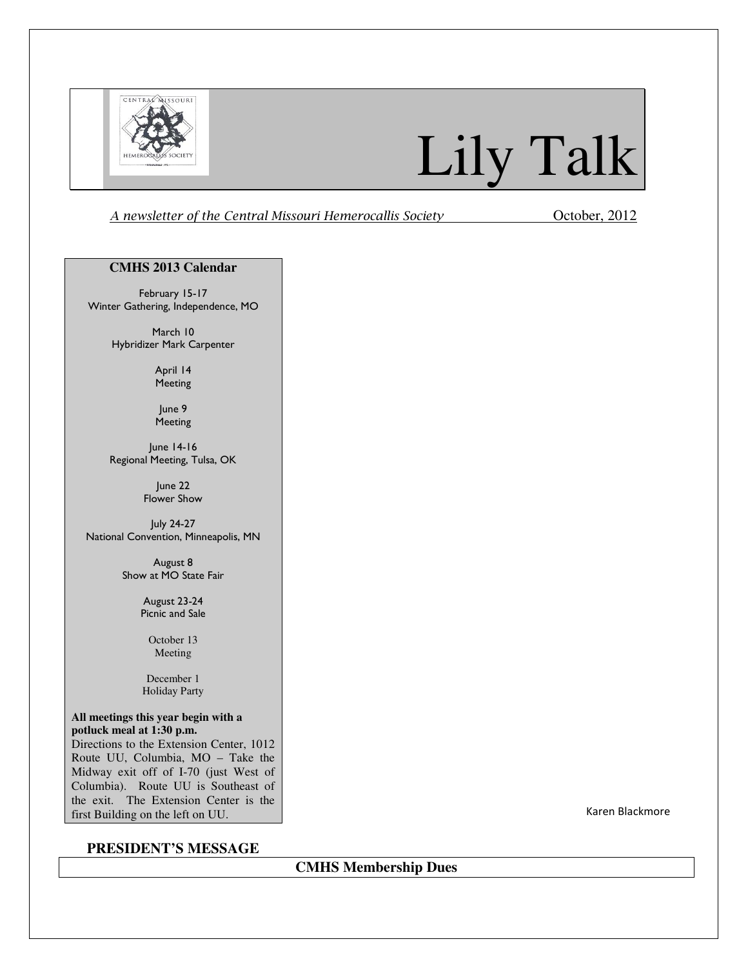

# Lily Talk

A newsletter of the Central Missouri Hemerocallis Society October, 2012

#### **CMHS 2013 Calendar**

February 15-17 Winter Gathering, Independence, MO

> March 10 Hybridizer Mark Carpenter

> > April 14 Meeting

June 9 Meeting

June 14-16 Regional Meeting, Tulsa, OK

> June 22 Flower Show

July 24-27 National Convention, Minneapolis, MN

> August 8 Show at MO State Fair

> > August 23-24 Picnic and Sale

> > > October 13 Meeting

December 1 Holiday Party

#### **All meetings this year begin with a potluck meal at 1:30 p.m.**

Directions to the Extension Center, 1012 Route UU, Columbia, MO – Take the Midway exit off of I-70 (just West of Columbia). Route UU is Southeast of the exit. The Extension Center is the first Building on the left on UU.

### **PRESIDENT'S MESSAGE**

Karen Blackmore

**CMHS Membership Dues**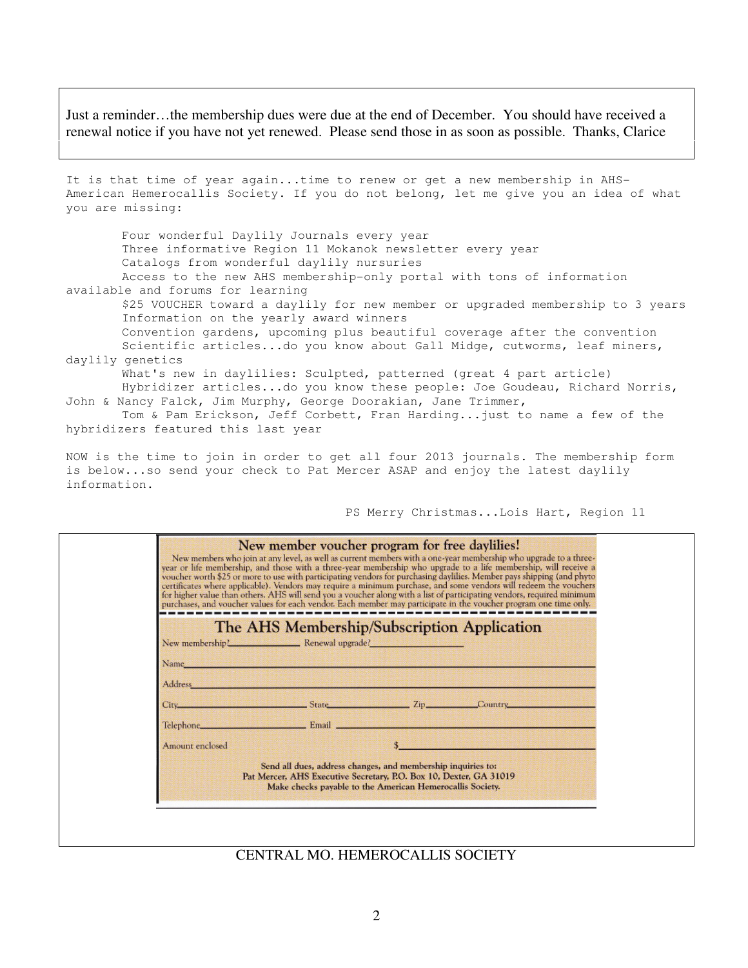Just a reminder…the membership dues were due at the end of December. You should have received a renewal notice if you have not yet renewed. Please send those in as soon as possible. Thanks, Clarice

It is that time of year again...time to renew or get a new membership in AHS-American Hemerocallis Society. If you do not belong, let me give you an idea of what you are missing:

 Four wonderful Daylily Journals every year Three informative Region 11 Mokanok newsletter every year Catalogs from wonderful daylily nursuries Access to the new AHS membership-only portal with tons of information available and forums for learning \$25 VOUCHER toward a daylily for new member or upgraded membership to 3 years Information on the yearly award winners Convention gardens, upcoming plus beautiful coverage after the convention Scientific articles...do you know about Gall Midge, cutworms, leaf miners, daylily genetics What's new in daylilies: Sculpted, patterned (great 4 part article) Hybridizer articles...do you know these people: Joe Goudeau, Richard Norris,

John & Nancy Falck, Jim Murphy, George Doorakian, Jane Trimmer, Tom & Pam Erickson, Jeff Corbett, Fran Harding...just to name a few of the

hybridizers featured this last year

NOW is the time to join in order to get all four 2013 journals. The membership form is below...so send your check to Pat Mercer ASAP and enjoy the latest daylily information.

PS Merry Christmas...Lois Hart, Region 11

|                                  | New member voucher program for free daylilies!                                                                                                                                                  | New members who join at any level, as well as current members with a one-year membership who upgrade to a three-<br>year or life membership, and those with a three-year membership who upgrade to a life membership, will receive a<br>voucher worth \$25 or more to use with participating vendors for purchasing daylilies. Member pays shipping (and phyto<br>certificates where applicable). Vendors may require a minimum purchase, and some vendors will redeem the vouchers<br>for higher value than others. AHS will send you a voucher along with a list of participating vendors, required minimum<br>purchases, and voucher values for each vendor. Each member may participate in the voucher program one time only. |
|----------------------------------|-------------------------------------------------------------------------------------------------------------------------------------------------------------------------------------------------|-----------------------------------------------------------------------------------------------------------------------------------------------------------------------------------------------------------------------------------------------------------------------------------------------------------------------------------------------------------------------------------------------------------------------------------------------------------------------------------------------------------------------------------------------------------------------------------------------------------------------------------------------------------------------------------------------------------------------------------|
|                                  | The AHS Membership/Subscription Application                                                                                                                                                     |                                                                                                                                                                                                                                                                                                                                                                                                                                                                                                                                                                                                                                                                                                                                   |
| New membership! Renewal upgrade? |                                                                                                                                                                                                 |                                                                                                                                                                                                                                                                                                                                                                                                                                                                                                                                                                                                                                                                                                                                   |
| Name                             |                                                                                                                                                                                                 |                                                                                                                                                                                                                                                                                                                                                                                                                                                                                                                                                                                                                                                                                                                                   |
| Address                          |                                                                                                                                                                                                 |                                                                                                                                                                                                                                                                                                                                                                                                                                                                                                                                                                                                                                                                                                                                   |
| City_                            | State <b>Example 21 State</b> 21p                                                                                                                                                               | Country_                                                                                                                                                                                                                                                                                                                                                                                                                                                                                                                                                                                                                                                                                                                          |
| Telephone                        | <b>Email</b> Email                                                                                                                                                                              |                                                                                                                                                                                                                                                                                                                                                                                                                                                                                                                                                                                                                                                                                                                                   |
| Amount enclosed                  |                                                                                                                                                                                                 |                                                                                                                                                                                                                                                                                                                                                                                                                                                                                                                                                                                                                                                                                                                                   |
|                                  | Send all dues, address changes, and membership inquiries to:<br>Pat Mercer, AHS Executive Secretary, P.O. Box 10, Dexter, GA 31019<br>Make checks payable to the American Hemerocallis Society. |                                                                                                                                                                                                                                                                                                                                                                                                                                                                                                                                                                                                                                                                                                                                   |

CENTRAL MO. HEMEROCALLIS SOCIETY